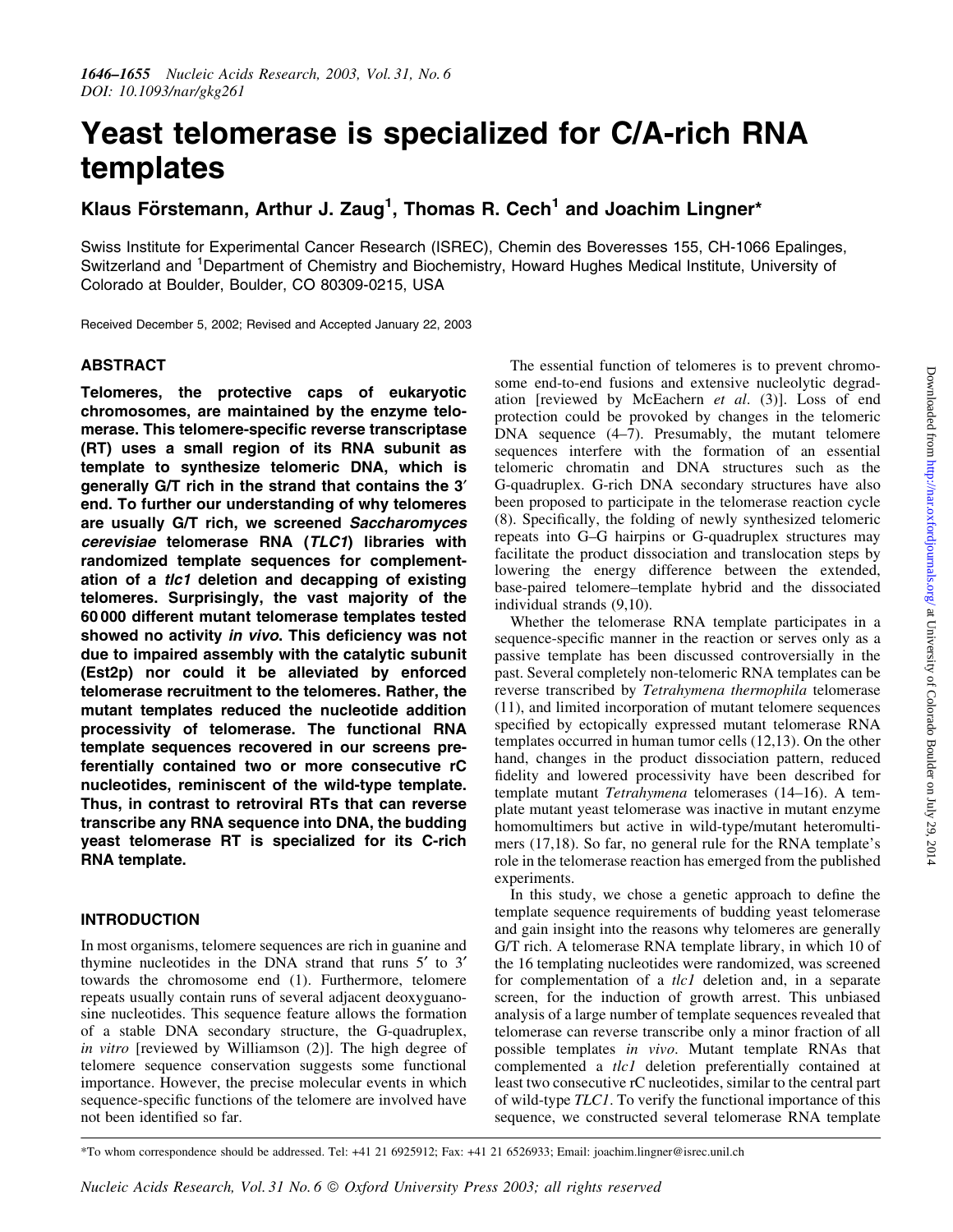# Yeast telomerase is specialized for C/A-rich RNA templates

# Klaus Förstemann, Arthur J. Zaug<sup>1</sup>, Thomas R. Cech<sup>1</sup> and Joachim Lingner\*

Swiss Institute for Experimental Cancer Research (ISREC), Chemin des Boveresses 155, CH-1066 Epalinges, Switzerland and <sup>1</sup>Department of Chemistry and Biochemistry, Howard Hughes Medical Institute, University of Colorado at Boulder, Boulder, CO 80309-0215, USA

Received December 5, 2002; Revised and Accepted January 22, 2003

# ABSTRACT

Telomeres, the protective caps of eukaryotic chromosomes, are maintained by the enzyme telomerase. This telomere-specific reverse transcriptase (RT) uses a small region of its RNA subunit as template to synthesize telomeric DNA, which is generally G/T rich in the strand that contains the 3' end. To further our understanding of why telomeres are usually G/T rich, we screened Saccharomyces cerevisiae telomerase RNA (TLC1) libraries with randomized template sequences for complementation of a tlc1 deletion and decapping of existing telomeres. Surprisingly, the vast majority of the 60 000 different mutant telomerase templates tested showed no activity in vivo. This deficiency was not due to impaired assembly with the catalytic subunit (Est2p) nor could it be alleviated by enforced telomerase recruitment to the telomeres. Rather, the mutant templates reduced the nucleotide addition processivity of telomerase. The functional RNA template sequences recovered in our screens preferentially contained two or more consecutive rC nucleotides, reminiscent of the wild-type template. Thus, in contrast to retroviral RTs that can reverse transcribe any RNA sequence into DNA, the budding yeast telomerase RT is specialized for its C-rich RNA template.

# INTRODUCTION

In most organisms, telomere sequences are rich in guanine and thymine nucleotides in the DNA strand that runs  $5'$  to  $3'$ towards the chromosome end (1). Furthermore, telomere repeats usually contain runs of several adjacent deoxyguanosine nucleotides. This sequence feature allows the formation of a stable DNA secondary structure, the G-quadruplex, in vitro [reviewed by Williamson (2)]. The high degree of telomere sequence conservation suggests some functional importance. However, the precise molecular events in which sequence-specific functions of the telomere are involved have not been identified so far.

The essential function of telomeres is to prevent chromosome end-to-end fusions and extensive nucleolytic degradation [reviewed by McEachern et al. (3)]. Loss of end protection could be provoked by changes in the telomeric DNA sequence (4-7). Presumably, the mutant telomere sequences interfere with the formation of an essential telomeric chromatin and DNA structures such as the G-quadruplex. G-rich DNA secondary structures have also been proposed to participate in the telomerase reaction cycle (8). Specifically, the folding of newly synthesized telomeric repeats into G-G hairpins or G-quadruplex structures may facilitate the product dissociation and translocation steps by lowering the energy difference between the extended, base-paired telomere-template hybrid and the dissociated individual strands (9,10).

Whether the telomerase RNA template participates in a sequence-specific manner in the reaction or serves only as a passive template has been discussed controversially in the past. Several completely non-telomeric RNA templates can be reverse transcribed by Tetrahymena thermophila telomerase (11), and limited incorporation of mutant telomere sequences specified by ectopically expressed mutant telomerase RNA templates occurred in human tumor cells (12,13). On the other hand, changes in the product dissociation pattern, reduced fidelity and lowered processivity have been described for template mutant Tetrahymena telomerases (14-16). A template mutant yeast telomerase was inactive in mutant enzyme homomultimers but active in wild-type/mutant heteromultimers (17,18). So far, no general rule for the RNA template's role in the telomerase reaction has emerged from the published experiments.

In this study, we chose a genetic approach to define the template sequence requirements of budding yeast telomerase and gain insight into the reasons why telomeres are generally G/T rich. A telomerase RNA template library, in which 10 of the 16 templating nucleotides were randomized, was screened for complementation of a *tlc1* deletion and, in a separate screen, for the induction of growth arrest. This unbiased analysis of a large number of template sequences revealed that telomerase can reverse transcribe only a minor fraction of all possible templates in vivo. Mutant template RNAs that complemented a tlc1 deletion preferentially contained at least two consecutive rC nucleotides, similar to the central part of wild-type TLC1. To verify the functional importance of this sequence, we constructed several telomerase RNA template

\*To whom correspondence should be addressed. Tel: +41 21 6925912; Fax: +41 21 6526933; Email: joachim.lingner@isrec.unil.ch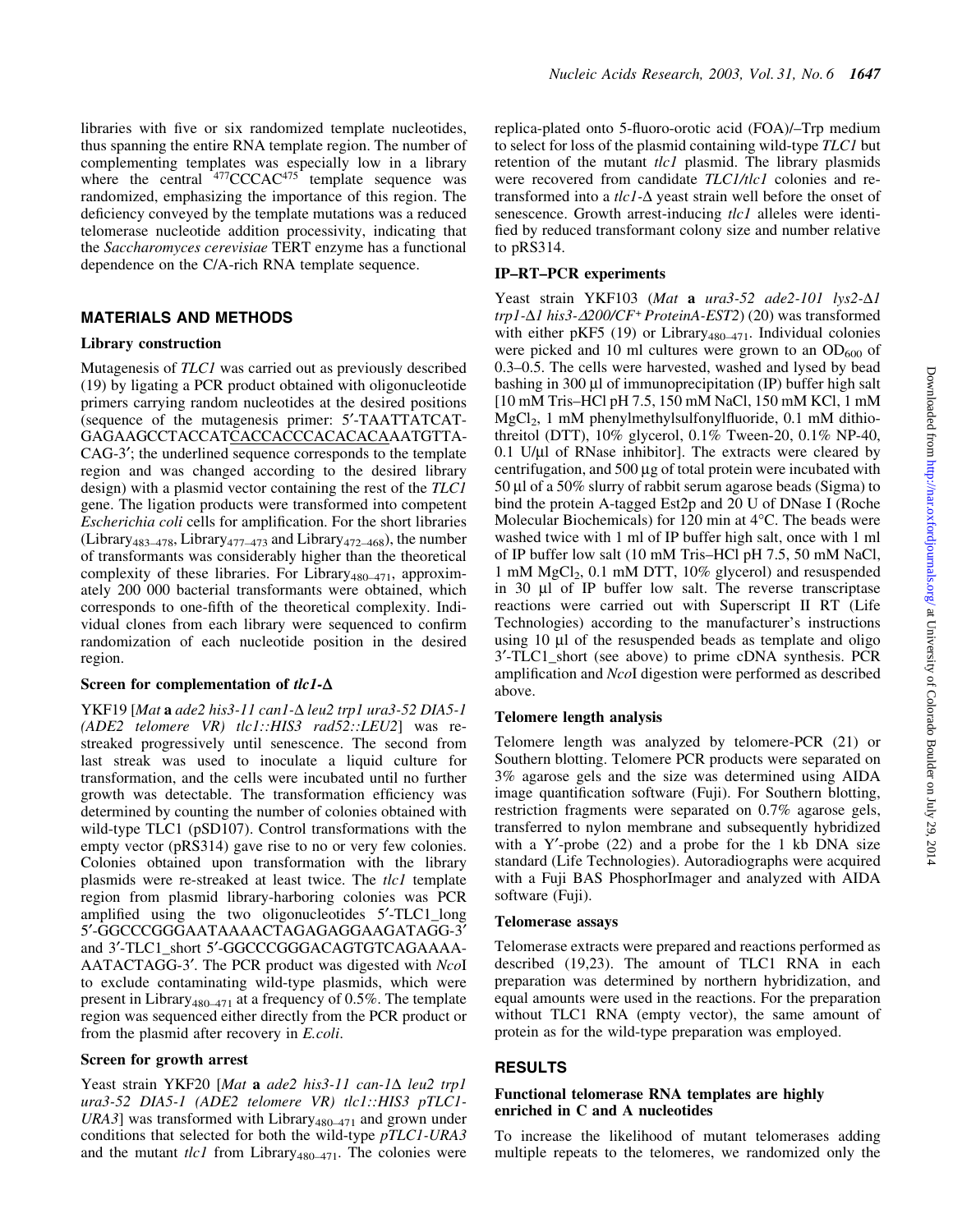libraries with five or six randomized template nucleotides, thus spanning the entire RNA template region. The number of complementing templates was especially low in a library where the central  $477$ CCCAC $475$  template sequence was randomized, emphasizing the importance of this region. The deficiency conveyed by the template mutations was a reduced telomerase nucleotide addition processivity, indicating that the Saccharomyces cerevisiae TERT enzyme has a functional dependence on the C/A-rich RNA template sequence.

# MATERIALS AND METHODS

#### Library construction

Mutagenesis of TLC1 was carried out as previously described (19) by ligating a PCR product obtained with oligonucleotide primers carrying random nucleotides at the desired positions (sequence of the mutagenesis primer: 5¢-TAATTATCAT-GAGAAGCCTACCATCACCACCCACACACAAATGTTA-CAG-3<sup>'</sup>; the underlined sequence corresponds to the template region and was changed according to the desired library design) with a plasmid vector containing the rest of the TLC1 gene. The ligation products were transformed into competent Escherichia coli cells for amplification. For the short libraries (Library<sub>483</sub> $-478$ , Library<sub>477</sub> $-473$  and Library<sub>472</sub> $-468$ ), the number of transformants was considerably higher than the theoretical complexity of these libraries. For Library<sub>480</sub> $-471$ , approximately 200 000 bacterial transformants were obtained, which corresponds to one-fifth of the theoretical complexity. Individual clones from each library were sequenced to confirm randomization of each nucleotide position in the desired region.

# Screen for complementation of  $tlc1-\Delta$

YKF19 [Mat  $a$  ade2 his3-11 can1- $\Delta$  leu2 trp1 ura3-52 DIA5-1 (ADE2 telomere VR) tlc1::HIS3 rad52::LEU2] was restreaked progressively until senescence. The second from last streak was used to inoculate a liquid culture for transformation, and the cells were incubated until no further growth was detectable. The transformation efficiency was determined by counting the number of colonies obtained with wild-type TLC1 (pSD107). Control transformations with the empty vector (pRS314) gave rise to no or very few colonies. Colonies obtained upon transformation with the library plasmids were re-streaked at least twice. The tlc1 template region from plasmid library-harboring colonies was PCR amplified using the two oligonucleotides 5'-TLC1\_long 5¢-GGCCCGGGAATAAAACTAGAGAGGAAGATAGG-3¢ and 3'-TLC1\_short 5'-GGCCCGGGACAGTGTCAGAAAA-AATACTAGG-3'. The PCR product was digested with NcoI to exclude contaminating wild-type plasmids, which were present in Library<sub>480-471</sub> at a frequency of 0.5%. The template region was sequenced either directly from the PCR product or from the plasmid after recovery in E.coli.

# Screen for growth arrest

Yeast strain YKF20 [Mat a ade2 his3-11 can-1 $\Delta$  leu2 trp1 ura3-52 DIA5-1 (ADE2 telomere VR) tlc1::HIS3 pTLC1-URA3] was transformed with Library<sub>480-471</sub> and grown under conditions that selected for both the wild-type pTLC1-URA3 and the mutant  $tlc1$  from Library<sub>480-471</sub>. The colonies were

replica-plated onto 5-fluoro-orotic acid (FOA)/-Trp medium to select for loss of the plasmid containing wild-type TLC1 but retention of the mutant tlc1 plasmid. The library plasmids were recovered from candidate TLC1/tlc1 colonies and retransformed into a  $tlc1-\Delta$  yeast strain well before the onset of senescence. Growth arrest-inducing tlc1 alleles were identified by reduced transformant colony size and number relative to pRS314.

# IP-RT-PCR experiments

Yeast strain YKF103 (Mat a ura3-52 ade2-101 lys2- $\Delta$ 1  $trp1-\Delta1$  his3- $\Delta$ 200/CF<sup>+</sup> ProteinA-EST2) (20) was transformed with either pKF5 (19) or Library<sub>480-471</sub>. Individual colonies were picked and 10 ml cultures were grown to an  $OD_{600}$  of 0.3-0.5. The cells were harvested, washed and lysed by bead bashing in 300  $\mu$ l of immunoprecipitation (IP) buffer high salt [10 mM Tris±HCl pH 7.5, 150 mM NaCl, 150 mM KCl, 1 mM  $MgCl<sub>2</sub>$ , 1 mM phenylmethylsulfonylfluoride, 0.1 mM dithiothreitol (DTT), 10% glycerol, 0.1% Tween-20, 0.1% NP-40,  $0.1$  U/ $\mu$ l of RNase inhibitor]. The extracts were cleared by centrifugation, and  $500 \mu g$  of total protein were incubated with  $50 \mu$ l of a  $50\%$  slurry of rabbit serum agarose beads (Sigma) to bind the protein A-tagged Est2p and 20 U of DNase I (Roche Molecular Biochemicals) for 120 min at 4°C. The beads were washed twice with 1 ml of IP buffer high salt, once with 1 ml of IP buffer low salt (10 mM Tris-HCl pH 7.5, 50 mM NaCl, 1 mM MgCl2, 0.1 mM DTT, 10% glycerol) and resuspended in 30 µl of IP buffer low salt. The reverse transcriptase reactions were carried out with Superscript II RT (Life Technologies) according to the manufacturer's instructions using  $10 \mu l$  of the resuspended beads as template and oligo 3¢-TLC1\_short (see above) to prime cDNA synthesis. PCR amplification and NcoI digestion were performed as described above.

### Telomere length analysis

Telomere length was analyzed by telomere-PCR (21) or Southern blotting. Telomere PCR products were separated on 3% agarose gels and the size was determined using AIDA image quantification software (Fuji). For Southern blotting, restriction fragments were separated on 0.7% agarose gels, transferred to nylon membrane and subsequently hybridized with a  $Y'$ -probe (22) and a probe for the 1 kb DNA size standard (Life Technologies). Autoradiographs were acquired with a Fuji BAS PhosphorImager and analyzed with AIDA software (Fuji).

#### Telomerase assays

Telomerase extracts were prepared and reactions performed as described (19,23). The amount of TLC1 RNA in each preparation was determined by northern hybridization, and equal amounts were used in the reactions. For the preparation without TLC1 RNA (empty vector), the same amount of protein as for the wild-type preparation was employed.

#### RESULTS

# Functional telomerase RNA templates are highly enriched in C and A nucleotides

To increase the likelihood of mutant telomerases adding multiple repeats to the telomeres, we randomized only the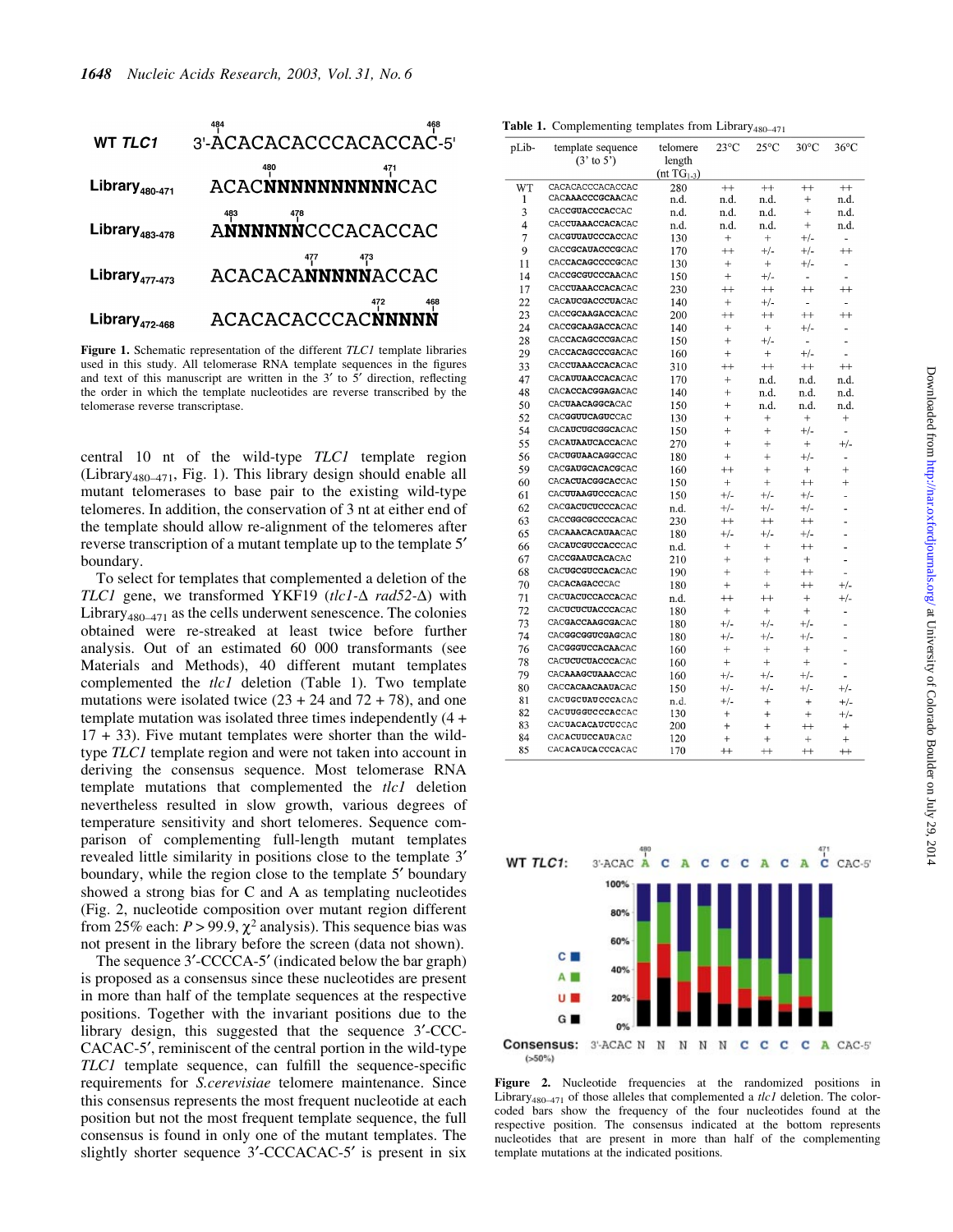

Figure 1. Schematic representation of the different TLC1 template libraries used in this study. All telomerase RNA template sequences in the figures and text of this manuscript are written in the  $3'$  to  $5'$  direction, reflecting the order in which the template nucleotides are reverse transcribed by the telomerase reverse transcriptase.

central 10 nt of the wild-type TLC1 template region (Library<sub>480-471</sub>, Fig. 1). This library design should enable all mutant telomerases to base pair to the existing wild-type telomeres. In addition, the conservation of 3 nt at either end of the template should allow re-alignment of the telomeres after reverse transcription of a mutant template up to the template 5<sup>'</sup> boundary.

To select for templates that complemented a deletion of the TLC1 gene, we transformed YKF19 (tlc1- $\Delta$  rad52- $\Delta$ ) with Library<sub>480 $-471$ </sub> as the cells underwent senescence. The colonies obtained were re-streaked at least twice before further analysis. Out of an estimated 60 000 transformants (see Materials and Methods), 40 different mutant templates complemented the tlc1 deletion (Table 1). Two template mutations were isolated twice  $(23 + 24$  and  $72 + 78)$ , and one template mutation was isolated three times independently (4 + 17 + 33). Five mutant templates were shorter than the wildtype TLC1 template region and were not taken into account in deriving the consensus sequence. Most telomerase RNA template mutations that complemented the tlc1 deletion nevertheless resulted in slow growth, various degrees of temperature sensitivity and short telomeres. Sequence comparison of complementing full-length mutant templates revealed little similarity in positions close to the template 3¢ boundary, while the region close to the template 5<sup>'</sup> boundary showed a strong bias for C and A as templating nucleotides (Fig. 2, nucleotide composition over mutant region different from 25% each:  $P > 99.9$ ,  $\chi^2$  analysis). This sequence bias was not present in the library before the screen (data not shown).

The sequence 3'-CCCCA-5' (indicated below the bar graph) is proposed as a consensus since these nucleotides are present in more than half of the template sequences at the respective positions. Together with the invariant positions due to the library design, this suggested that the sequence 3¢-CCC-CACAC-5<sup>'</sup>, reminiscent of the central portion in the wild-type  $TLC1$  template sequence, can fulfill the sequence-specific requirements for S.cerevisiae telomere maintenance. Since this consensus represents the most frequent nucleotide at each position but not the most frequent template sequence, the full consensus is found in only one of the mutant templates. The slightly shorter sequence 3'-CCCACAC-5' is present in six

| <b>Table 1.</b> Complementing templates from Library <sub>480–471</sub> |  |  |
|-------------------------------------------------------------------------|--|--|
|-------------------------------------------------------------------------|--|--|

| pLib-    | template sequence<br>$(3' \text{ to } 5')$            | telomere<br>length | $23^{\circ}$ C | $25^{\circ}$ C | $30^{\circ}$ C           | $36^{\circ}$ C           |
|----------|-------------------------------------------------------|--------------------|----------------|----------------|--------------------------|--------------------------|
|          |                                                       | $(nt TG1-3)$       |                |                |                          |                          |
| WT       | CACACACCCACACCAC                                      | 280                | $+$            | $^{++}$        | $++$                     | $^{++}$                  |
| 1        | CACAAACCCGCAACAC                                      | n d.               | n.d.           | n.d.           | $\qquad \qquad +$        | n d.                     |
| 3        | CACCGUACCCACCAC                                       | n.d.               | n.d.           | n.d.           | $+$                      | n.d.                     |
| 4        | CACCUAAACCACACAC                                      | n.d.               | n.d.           | n.d.           | $+$                      | n.d.                     |
| 7        | CACGUUAUCCCACCAC                                      | 130                | $^{+}$         | $^{+}$         | $^{+/-}$                 | $\overline{a}$           |
| 9        | CACCGCAUACCCGCAC                                      | 170                | $^{++}$        | $+/-$          | $+/-$                    | $^{++}$                  |
| 11       | CACCACAGCCCCGCAC                                      | 130                | $^{+}$         | $+$            | $+/-$                    | -                        |
| 14       | CACCGCGUCCCAACAC                                      | 150                | $+$            | $+/-$          | ä,                       |                          |
| 17       | CACCUAAACCACACAC                                      | 230                | $^{++}$        | $^{++}$        | $^{++}$                  | $^{++}$                  |
| 22       | CACAUCGACCCUACAC                                      | 140                | $+$            | $+/-$          | $\overline{\phantom{a}}$ | $\overline{\phantom{a}}$ |
| 23       | CACCGCAAGACCACAC                                      | 200                | $^{++}$        | $^{++}$        | $^{++}$                  | $^{++}$                  |
| 24       | CACCGCAAGACCACAC                                      | 140                | $^{+}$         | $+$            | $+/-$                    | $\overline{a}$           |
| 28       | CACCACAGCCCGACAC                                      | 150                | $^{+}$         | $+/-$          | $\overline{a}$           | $\overline{a}$           |
| 29       | CACCACAGCCCGACAC                                      | 160                | $^{+}$         | $+$            | $+/-$                    | $\overline{a}$           |
| 33       | CACCUAAACCACACAC                                      | 310                | $^{++}$        | $++$           | $^{++}$                  | $^{++}$                  |
| 47       | CACAUUAACCACACAC                                      | 170                | $+$            | n.d.           | n.d.                     | n.d.                     |
| 48       | CACACCACGGAGACAC                                      | 140                | $+$            | n.d.           | n.d.                     | n.d.                     |
| 50       | CACUAACAGGCACAC                                       | 150                | $+$            | n.d.           | n.d.                     | n.d.                     |
| 52       | CACGGUUCAGUCCAC                                       | 130                | $^{+}$         | $^{+}$         | $\! + \!\!\!\!$          | $^{+}$                   |
| 54       | CACAUCUGCGGCACAC                                      | 150                | $+$            | $^{+}$         | $+/-$                    | $\frac{1}{2}$            |
| 55       | CACAUAAUCACCACAC                                      | 270                | $\ddot{}$      | $+$            | $+$                      | $+/-$                    |
| 56       | CACUGUAACAGGCCAC                                      | 180                | $^{+}$         | $^{+}$         | $^{+/-}$                 | ٠                        |
| 59       | CACGAUGCACACGCAC                                      | 160                | $^{++}$        | $+$            | $^{+}$                   | $+$                      |
| 60       | CACACUACGGCACCAC                                      | 150                | $+$            | $+$            | $^{++}$                  | $^{+}$                   |
| 61       | CACUUAAGUCCCACAC                                      | 150                | $+/-$          | $^{+/-}$       | $+/-$                    | ä,                       |
| 62       | CACGACUCUCCCACAC                                      | n.d.               | $+/-$          | $+/-$          | $+/-$                    | ä,                       |
| 63       | CACCGGCGCCCCACAC                                      | 230                | $^{++}$        | $^{++}$        | $^{++}$                  | ä,                       |
| 65       | CACAAACACAUAACAC                                      | 180                | $+/-$          | $+/-$          | $^{+/-}$                 | L.                       |
| 66       | CACAUCGUCCACCCAC                                      | n.d.               | $^{+}$         | $^{+}$         | $^{++}$                  |                          |
| 67       | CACCGAAUCACACAC                                       | 210                | $+$            | $+$            | $^{+}$                   | ä,                       |
| 68       | CACUGCGUCCACACAC                                      | 190                | $^{+}$         | $+$            | $^{++}$                  | L.                       |
| 70       | CACACAGACCCAC                                         | 180                | $^{+}$         | $^{+}$         | $^{++}$                  | $+/-$                    |
| 71       | CACUACUCCACCACAC                                      | n.d.               | $^{++}$        | $^{++}$        | $+$                      | $+/-$                    |
| 72       | CACUCUCUACCCACAC                                      | 180                | $+$            | $^{+}$         | $^{+}$                   | $\overline{a}$           |
| 73       | CACGACCAAGCGACAC                                      | 180                | $^{+/-}$       | $+/-$          | $^{+/-}$                 | $\overline{a}$           |
| 74       | CACGGCGGUCGAGCAC                                      | 180                | $^{+/-}$       | $+/-$          | $+/-$                    | $\overline{a}$           |
| 76       | CACGGGUCCACAACAC                                      | 160                | $\ddot{}$      | $\! +$         | $+$                      |                          |
| 78       | CACUCUCUACCCACAC                                      | 160                | $\ddot{}$      | $+$            | $\ddot{}$                | $\overline{a}$           |
| 79       | CACAAAGCUAAACCAC                                      | 160                | $^{+/-}$       | $+/-$          | $+/-$                    | ÷.                       |
| 80       | CACCACAACAAUACAC                                      | 150                | +/-            | $^{+/-}$       | $^{+/-}$                 | $^{+/-}$                 |
| 81       | CACUGCUAU CCCACAC                                     | n.d.               | $+/-$          | $^{+}$         | $^{+}$                   | $^{+/-}$                 |
| 82       | CACUUGGUCCCACCAC                                      | 130                | $^{+}$         | $^{+}$         | $+$                      | $^{+/-}$                 |
| 83       | CACUACACAUCUCCAC                                      | 200                | $^{+}$         | $\ddot{}$      | $^{+}$                   | $\ddot{}$                |
| 84<br>۵۲ | CAC <b>ACUUCCAUA</b> CAC<br>CAC <b>ACAUCACCCA</b> CAC | 120<br>170         | $^{+}$         | $\ddot{}$      | $+$                      | $+$                      |
|          |                                                       |                    |                |                |                          | $\mathbf{r}$             |



Figure 2. Nucleotide frequencies at the randomized positions in Library<sub>480-471</sub> of those alleles that complemented a *tlc1* deletion. The colorcoded bars show the frequency of the four nucleotides found at the respective position. The consensus indicated at the bottom represents nucleotides that are present in more than half of the complementing template mutations at the indicated positions.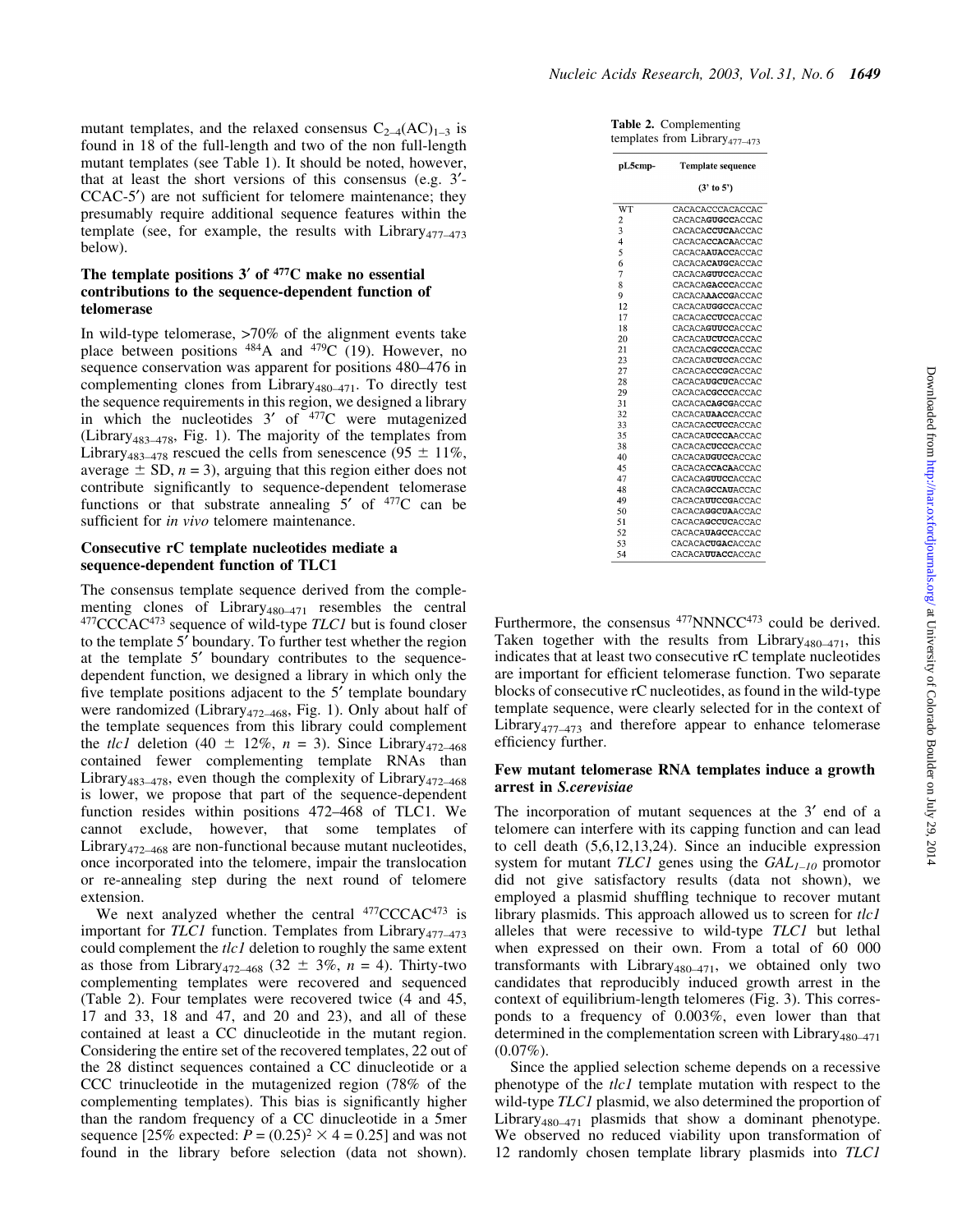mutant templates, and the relaxed consensus  $C_{2-4}(AC)_{1-3}$  is found in 18 of the full-length and two of the non full-length mutant templates (see Table 1). It should be noted, however, that at least the short versions of this consensus (e.g. 3¢-  $CCAC-5'$  are not sufficient for telomere maintenance; they presumably require additional sequence features within the template (see, for example, the results with Library<sub>477-473</sub> below).

# The template positions  $3'$  of  $477C$  make no essential contributions to the sequence-dependent function of telomerase

In wild-type telomerase, >70% of the alignment events take place between positions  $484A$  and  $479C$  (19). However, no sequence conservation was apparent for positions 480-476 in complementing clones from Library<sub>480</sub> $-471$ . To directly test the sequence requirements in this region, we designed a library in which the nucleotides  $3'$  of  $477C$  were mutagenized (Library<sub>483-478</sub>, Fig. 1). The majority of the templates from Library<sub>483-478</sub> rescued the cells from senescence (95  $\pm$  11%, average  $\pm$  SD,  $n = 3$ ), arguing that this region either does not contribute significantly to sequence-dependent telomerase functions or that substrate annealing  $5'$  of  $477C$  can be sufficient for in vivo telomere maintenance.

# Consecutive rC template nucleotides mediate a sequence-dependent function of TLC1

The consensus template sequence derived from the complementing clones of Library<sub>480</sub> $-471$  resembles the central  $477$ CCCAC $473$  sequence of wild-type TLC1 but is found closer to the template 5¢ boundary. To further test whether the region at the template 5' boundary contributes to the sequencedependent function, we designed a library in which only the five template positions adjacent to the  $5<sup>'</sup>$  template boundary were randomized (Library<sub>472-468</sub>, Fig. 1). Only about half of the template sequences from this library could complement the *tlc1* deletion (40  $\pm$  12%, n = 3). Since Library<sub>472-468</sub> contained fewer complementing template RNAs than Library<sub>483</sub> $-478$ , even though the complexity of Library<sub>472</sub> $-468$ is lower, we propose that part of the sequence-dependent function resides within positions 472-468 of TLC1. We cannot exclude, however, that some templates of Library<sub>472-468</sub> are non-functional because mutant nucleotides, once incorporated into the telomere, impair the translocation or re-annealing step during the next round of telomere extension.

We next analyzed whether the central <sup>477</sup>CCCAC<sup>473</sup> is important for  $TLC1$  function. Templates from Library<sub>477-473</sub> could complement the *tlc1* deletion to roughly the same extent as those from Library<sub>472-468</sub> (32  $\pm$  3%, n = 4). Thirty-two complementing templates were recovered and sequenced (Table 2). Four templates were recovered twice (4 and 45, 17 and 33, 18 and 47, and 20 and 23), and all of these contained at least a CC dinucleotide in the mutant region. Considering the entire set of the recovered templates, 22 out of the 28 distinct sequences contained a CC dinucleotide or a CCC trinucleotide in the mutagenized region (78% of the complementing templates). This bias is significantly higher than the random frequency of a CC dinucleotide in a 5mer sequence [25% expected:  $P = (0.25)^2 \times 4 = 0.25$ ] and was not found in the library before selection (data not shown).

Table 2. Complementing templates from Library $_{477-473}$ 

| pL5cmp-                 | <b>Template sequence</b>  |  |  |
|-------------------------|---------------------------|--|--|
|                         | (3' to 5')                |  |  |
| WT                      | CACACACCCACACCAC          |  |  |
| $\overline{\mathbf{c}}$ | CACACAGUGCCACCAC          |  |  |
| 3                       | <b>CACACACCUCAACCAC</b>   |  |  |
| $\overline{4}$          | CACACA <b>CCACA</b> ACCAC |  |  |
| 5                       | CACACAAUACCACCAC          |  |  |
| 6                       | CACACA <b>CAUGC</b> ACCAC |  |  |
| 7                       | CACACAGUUCCACCAC          |  |  |
| 8                       | CACACAGACCCACCAC          |  |  |
| 9                       | CACACAAACCGACCAC          |  |  |
| 12                      | CACACA <b>UGGCC</b> ACCAC |  |  |
| 17                      | CACACA <b>CCUCC</b> ACCAC |  |  |
| 18                      | CACACAGUUCCACCAC          |  |  |
| 20                      | CACACA <b>UCUCC</b> ACCAC |  |  |
| 21                      | CACACACGCCCACCAC          |  |  |
| 23                      | CACACA <b>UCUCC</b> ACCAC |  |  |
| 27                      | CACACACCCGCACCAC          |  |  |
| 28                      | CACACA <b>UGCUC</b> ACCAC |  |  |
| 29                      | CACACACGCCCACCAC          |  |  |
| 31                      | CACACACAGCGACCAC          |  |  |
| 32                      | CACACAUAACCACCAC          |  |  |
| 33                      | CACACA <b>CCUCC</b> ACCAC |  |  |
| 35                      | CACACAUCCCAACCAC          |  |  |
| 38                      | CACACACUCCCACCAC          |  |  |
| 40                      | <b>CACACAUGUCCACCAC</b>   |  |  |
| 45                      | CACACACCACAACCAC          |  |  |
| 47                      | CACACAGUUCCACCAC          |  |  |
| 48                      | <b>CACACAGCCAUACCAC</b>   |  |  |
| 49                      | CACACAUUCCGACCAC          |  |  |
| 50                      | <b>CACACAGGCUAACCAC</b>   |  |  |
| 51                      | CACACAGCCUCACCAC          |  |  |
| 52                      | CACACAUAGCCACCAC          |  |  |
| 53                      | CACACACUGACACCAC          |  |  |
| 54                      | CACACAUUACCACCAC          |  |  |

Furthermore, the consensus  $477$ NNNCC $473$  could be derived. Taken together with the results from Library<sub>480 $-471$ </sub>, this indicates that at least two consecutive rC template nucleotides are important for efficient telomerase function. Two separate blocks of consecutive rC nucleotides, as found in the wild-type template sequence, were clearly selected for in the context of Library<sub>477</sub> $-473$  and therefore appear to enhance telomerase efficiency further.

# Few mutant telomerase RNA templates induce a growth arrest in S.cerevisiae

The incorporation of mutant sequences at the  $3'$  end of a telomere can interfere with its capping function and can lead to cell death (5,6,12,13,24). Since an inducible expression system for mutant  $TLC1$  genes using the  $GAL<sub>I-10</sub>$  promotor did not give satisfactory results (data not shown), we employed a plasmid shuffling technique to recover mutant library plasmids. This approach allowed us to screen for  $tlc1$ alleles that were recessive to wild-type TLC1 but lethal when expressed on their own. From a total of 60 000 transformants with Library<sub>480</sub> $-471$ , we obtained only two candidates that reproducibly induced growth arrest in the context of equilibrium-length telomeres (Fig. 3). This corresponds to a frequency of 0.003%, even lower than that determined in the complementation screen with Library<sub>480-471</sub>  $(0.07\%).$ 

Since the applied selection scheme depends on a recessive phenotype of the *tlc1* template mutation with respect to the wild-type TLC1 plasmid, we also determined the proportion of Library<sub>480</sub> $-471$  plasmids that show a dominant phenotype. We observed no reduced viability upon transformation of 12 randomly chosen template library plasmids into TLC1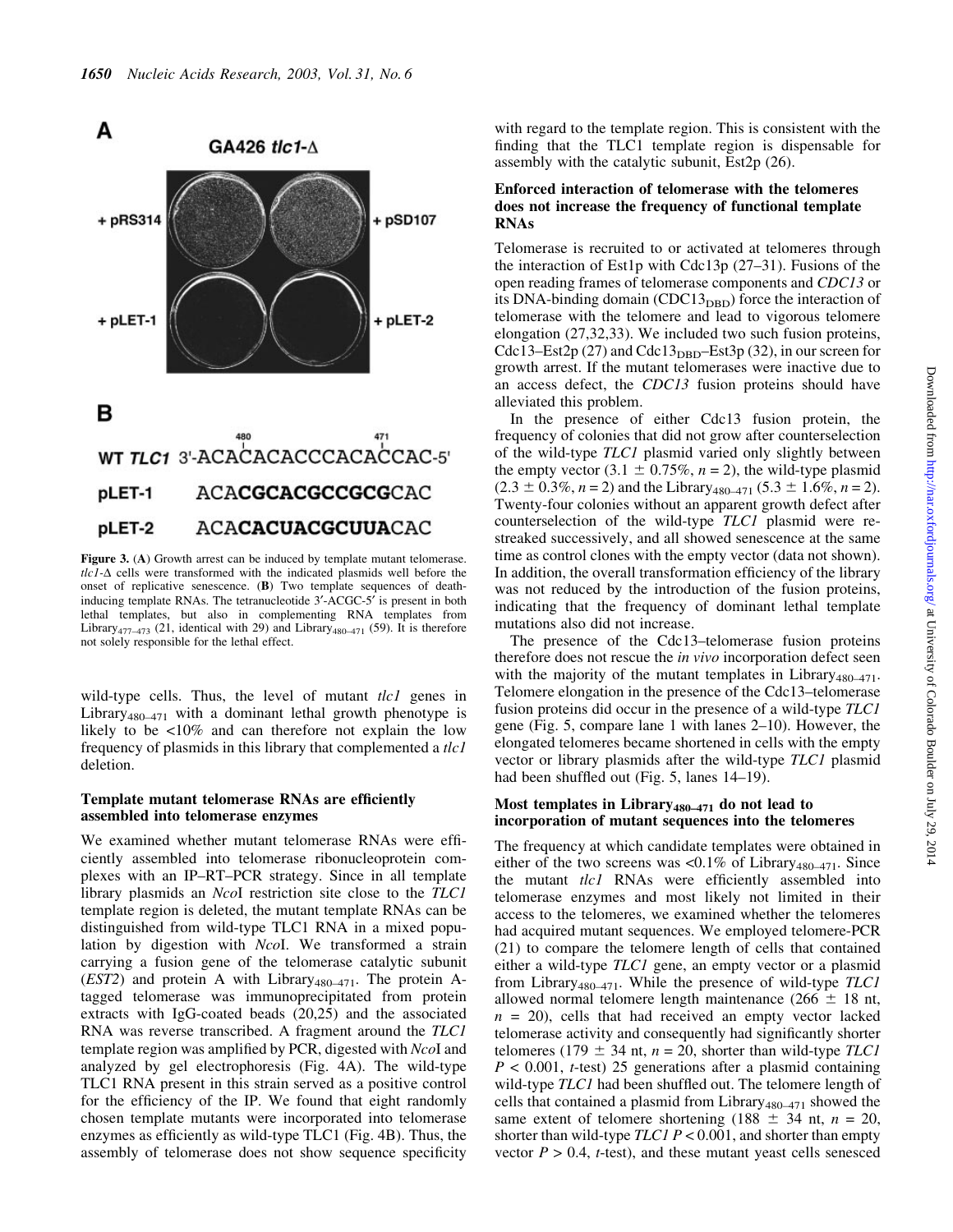

Figure 3. (A) Growth arrest can be induced by template mutant telomerase.  $tlc1-\Delta$  cells were transformed with the indicated plasmids well before the onset of replicative senescence. (B) Two template sequences of deathinducing template RNAs. The tetranucleotide 3'-ACGC-5' is present in both lethal templates, but also in complementing RNA templates from Library<sub>477</sub> $\overline{473}$  (21, identical with 29) and Library<sub>480</sub> $\overline{471}$  (59). It is therefore not solely responsible for the lethal effect.

wild-type cells. Thus, the level of mutant  $tlc1$  genes in Library<sub>480 $-471$ </sub> with a dominant lethal growth phenotype is likely to be <10% and can therefore not explain the low frequency of plasmids in this library that complemented a tlc1 deletion.

# Template mutant telomerase RNAs are efficiently assembled into telomerase enzymes

We examined whether mutant telomerase RNAs were efficiently assembled into telomerase ribonucleoprotein complexes with an IP-RT-PCR strategy. Since in all template library plasmids an NcoI restriction site close to the TLC1 template region is deleted, the mutant template RNAs can be distinguished from wild-type TLC1 RNA in a mixed population by digestion with NcoI. We transformed a strain carrying a fusion gene of the telomerase catalytic subunit  $(EST2)$  and protein A with Library<sub>480–471</sub>. The protein Atagged telomerase was immunoprecipitated from protein extracts with IgG-coated beads (20,25) and the associated RNA was reverse transcribed. A fragment around the TLC1 template region was amplified by PCR, digested with NcoI and analyzed by gel electrophoresis (Fig. 4A). The wild-type TLC1 RNA present in this strain served as a positive control for the efficiency of the IP. We found that eight randomly chosen template mutants were incorporated into telomerase enzymes as efficiently as wild-type TLC1 (Fig. 4B). Thus, the assembly of telomerase does not show sequence specificity with regard to the template region. This is consistent with the finding that the TLC1 template region is dispensable for assembly with the catalytic subunit, Est2p (26).

# Enforced interaction of telomerase with the telomeres does not increase the frequency of functional template RNAs

Telomerase is recruited to or activated at telomeres through the interaction of Est1p with Cdc13p  $(27-31)$ . Fusions of the open reading frames of telomerase components and CDC13 or its DNA-binding domain (CDC13<sub>DBD</sub>) force the interaction of telomerase with the telomere and lead to vigorous telomere elongation (27,32,33). We included two such fusion proteins, Cdc13–Est2p (27) and Cdc13<sub>DBD</sub>–Est3p (32), in our screen for growth arrest. If the mutant telomerases were inactive due to an access defect, the CDC13 fusion proteins should have alleviated this problem.

In the presence of either Cdc13 fusion protein, the frequency of colonies that did not grow after counterselection of the wild-type TLC1 plasmid varied only slightly between the empty vector (3.1  $\pm$  0.75%, n = 2), the wild-type plasmid  $(2.3 \pm 0.3\%, n = 2)$  and the Library<sub>480-471</sub> (5.3  $\pm$  1.6%, n = 2). Twenty-four colonies without an apparent growth defect after counterselection of the wild-type TLC1 plasmid were restreaked successively, and all showed senescence at the same time as control clones with the empty vector (data not shown). In addition, the overall transformation efficiency of the library was not reduced by the introduction of the fusion proteins, indicating that the frequency of dominant lethal template mutations also did not increase.

The presence of the Cdc13-telomerase fusion proteins therefore does not rescue the *in vivo* incorporation defect seen with the majority of the mutant templates in Library<sub>480-471</sub>. Telomere elongation in the presence of the Cdc13-telomerase fusion proteins did occur in the presence of a wild-type TLC1 gene (Fig. 5, compare lane 1 with lanes  $2-10$ ). However, the elongated telomeres became shortened in cells with the empty vector or library plasmids after the wild-type TLC1 plasmid had been shuffled out (Fig.  $5$ , lanes 14-19).

# Most templates in Library<sub>480-471</sub> do not lead to incorporation of mutant sequences into the telomeres

The frequency at which candidate templates were obtained in either of the two screens was <0.1% of Library<sub>480-471</sub>. Since the mutant tlc1 RNAs were efficiently assembled into telomerase enzymes and most likely not limited in their access to the telomeres, we examined whether the telomeres had acquired mutant sequences. We employed telomere-PCR (21) to compare the telomere length of cells that contained either a wild-type TLC1 gene, an empty vector or a plasmid from Library<sub>480-471</sub>. While the presence of wild-type  $TLCI$ allowed normal telomere length maintenance (266  $\pm$  18 nt,  $n = 20$ , cells that had received an empty vector lacked telomerase activity and consequently had significantly shorter telomeres (179  $\pm$  34 nt, n = 20, shorter than wild-type TLC1  $P < 0.001$ , *t*-test) 25 generations after a plasmid containing wild-type TLC1 had been shuffled out. The telomere length of cells that contained a plasmid from Library<sub>480-471</sub> showed the same extent of telomere shortening (188  $\pm$  34 nt, n = 20, shorter than wild-type  $TLCI$   $P < 0.001$ , and shorter than empty vector  $P > 0.4$ , t-test), and these mutant yeast cells senesced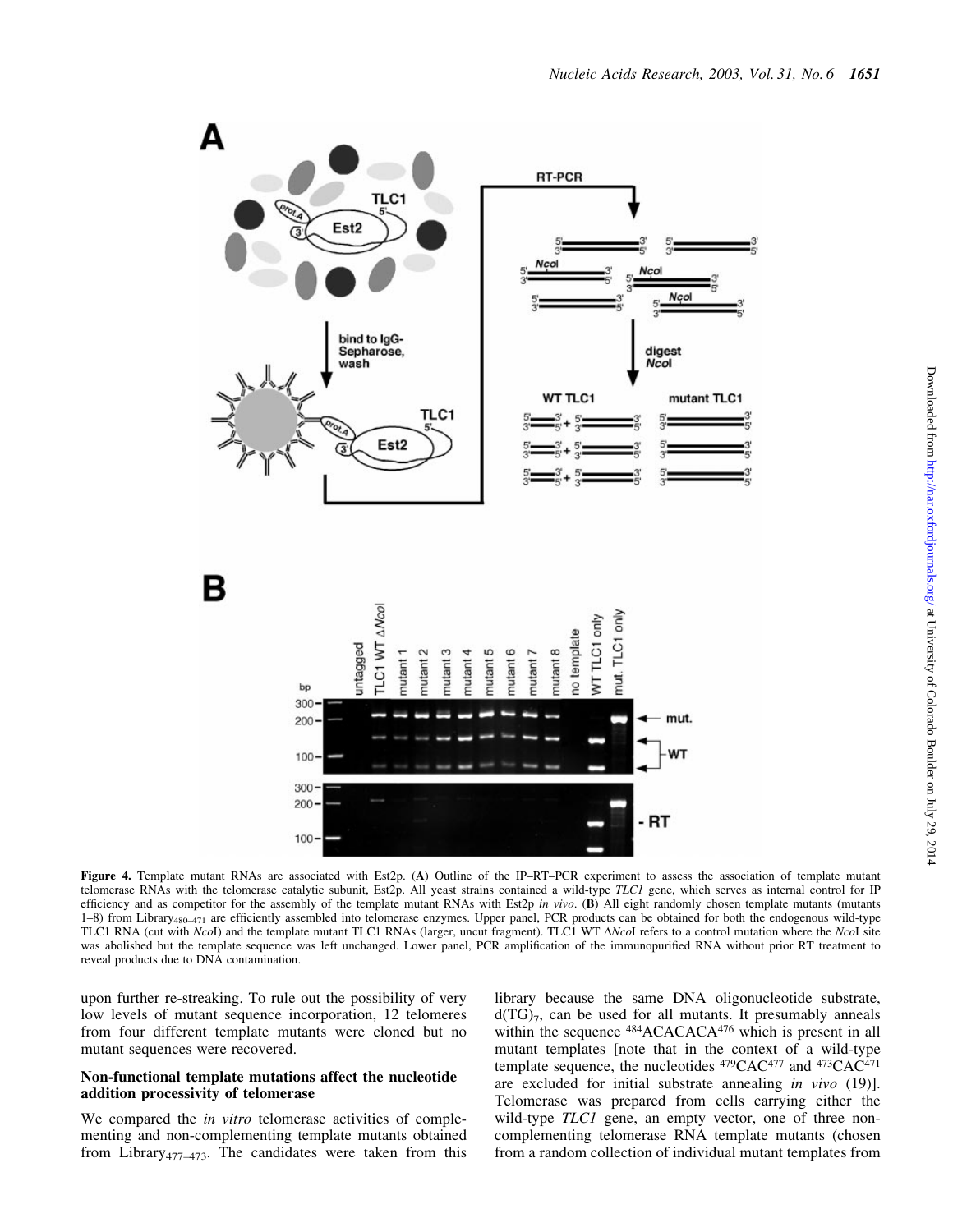

Downloaded from http://nar.oxfordjournals.org/ at University of Colorado Boulder on July 29, 2014 Downloaded from <http://nar.oxfordjournals.org/> at University of Colorado Boulder on July 29, 2014

Figure 4. Template mutant RNAs are associated with Est2p. (A) Outline of the IP-RT-PCR experiment to assess the association of template mutant telomerase RNAs with the telomerase catalytic subunit, Est2p. All yeast strains contained a wild-type TLC1 gene, which serves as internal control for IP efficiency and as competitor for the assembly of the template mutant RNAs with Est2p in vivo. (B) All eight randomly chosen template mutants (mutants 1-8) from Library<sub>480-471</sub> are efficiently assembled into telomerase enzymes. Upper panel, PCR products can be obtained for both the endogenous wild-type TLC1 RNA (cut with NcoI) and the template mutant TLC1 RNAs (larger, uncut fragment). TLC1 WT  $\Delta Ncol$  refers to a control mutation where the NcoI site was abolished but the template sequence was left unchanged. Lower panel, PCR amplification of the immunopurified RNA without prior RT treatment to reveal products due to DNA contamination.

upon further re-streaking. To rule out the possibility of very low levels of mutant sequence incorporation, 12 telomeres from four different template mutants were cloned but no mutant sequences were recovered.

# Non-functional template mutations affect the nucleotide addition processivity of telomerase

We compared the *in vitro* telomerase activities of complementing and non-complementing template mutants obtained from Library<sub>477</sub> $-473$ . The candidates were taken from this library because the same DNA oligonucleotide substrate,  $d(TG)_7$ , can be used for all mutants. It presumably anneals within the sequence <sup>484</sup>ACACACA<sup>476</sup> which is present in all mutant templates [note that in the context of a wild-type template sequence, the nucleotides  $479CAC477$  and  $473CAC471$ are excluded for initial substrate annealing in vivo (19)]. Telomerase was prepared from cells carrying either the wild-type TLC1 gene, an empty vector, one of three noncomplementing telomerase RNA template mutants (chosen from a random collection of individual mutant templates from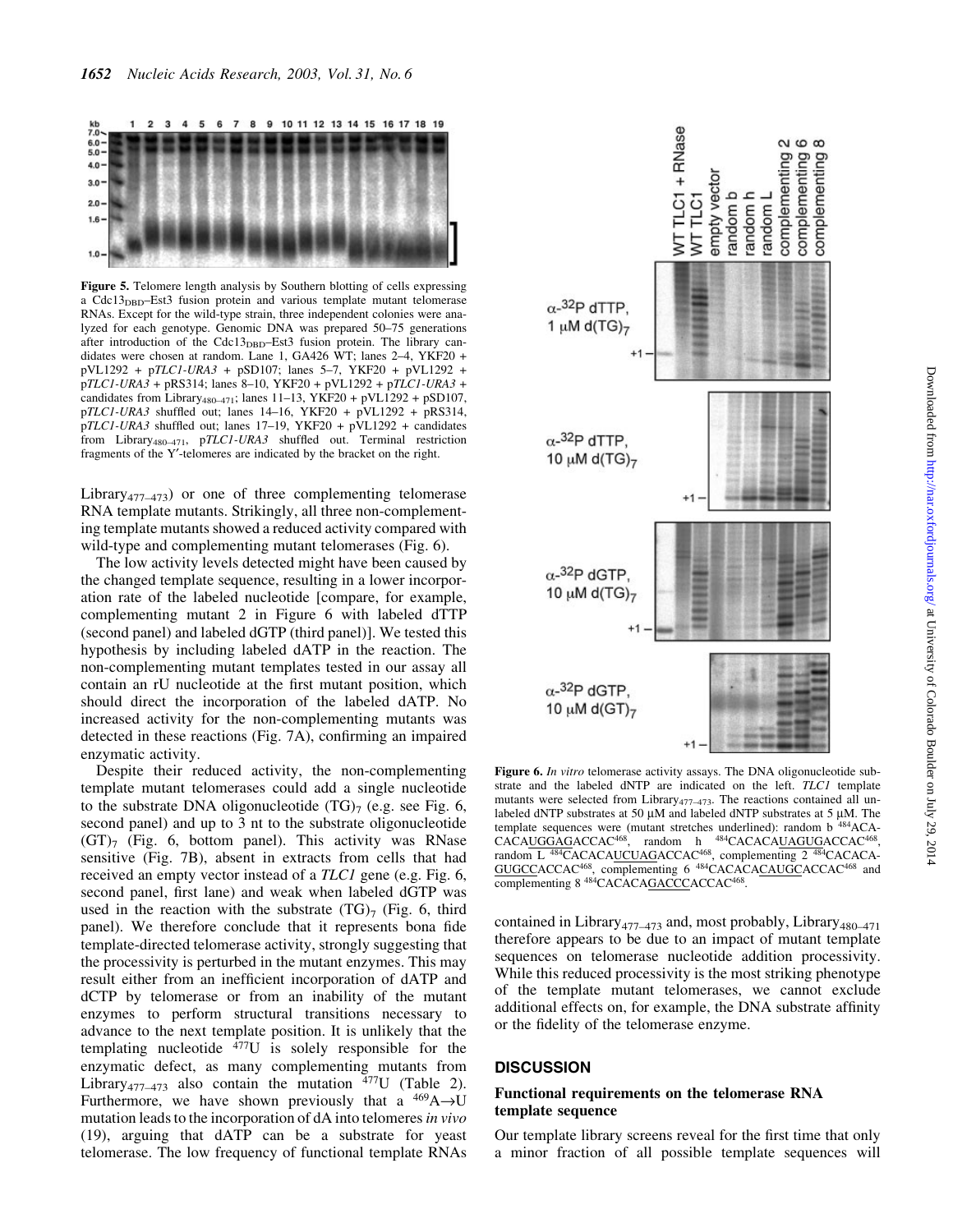

Figure 5. Telomere length analysis by Southern blotting of cells expressing a  $Cdc13_{DBD}$ -Est3 fusion protein and various template mutant telomerase RNAs. Except for the wild-type strain, three independent colonies were analyzed for each genotype. Genomic DNA was prepared 50–75 generations after introduction of the Cdc13<sub>DBD</sub>-Est3 fusion protein. The library candidates were chosen at random. Lane 1, GA426 WT; lanes 2-4, YKF20 +  $pVL1292 + pTLC1-URA3 + pSD107$ ; lanes 5-7, YKF20 +  $pVL1292 + pNL1292$  $pTLC1-URA3 + pRS314$ ; lanes 8-10, YKF20 + pVL1292 + pTLC1-URA3 + candidates from Library<sub>480-471</sub>; lanes 11-13, YKF20 + pVL1292 + pSD107,  $pTLC1-URA3$  shuffled out; lanes 14-16, YKF20 +  $pVL1292 + pRS314$ ,  $pTLC1-URA3$  shuffled out; lanes 17-19, YKF20 +  $pVL1292 +$  candidates from Library<sub>480-471</sub>, pTLC1-URA3 shuffled out. Terminal restriction fragments of the Y'-telomeres are indicated by the bracket on the right.

Library<sub>477</sub> $-473$ ) or one of three complementing telomerase RNA template mutants. Strikingly, all three non-complementing template mutants showed a reduced activity compared with wild-type and complementing mutant telomerases (Fig. 6).

The low activity levels detected might have been caused by the changed template sequence, resulting in a lower incorporation rate of the labeled nucleotide [compare, for example, complementing mutant 2 in Figure 6 with labeled dTTP (second panel) and labeled dGTP (third panel)]. We tested this hypothesis by including labeled dATP in the reaction. The non-complementing mutant templates tested in our assay all contain an rU nucleotide at the first mutant position, which should direct the incorporation of the labeled dATP. No increased activity for the non-complementing mutants was detected in these reactions (Fig. 7A), confirming an impaired enzymatic activity.

Despite their reduced activity, the non-complementing template mutant telomerases could add a single nucleotide to the substrate DNA oligonucleotide  $(TG)_7$  (e.g. see Fig. 6, second panel) and up to 3 nt to the substrate oligonucleotide  $(GT)$ <sub>7</sub> (Fig. 6, bottom panel). This activity was RNase sensitive (Fig. 7B), absent in extracts from cells that had received an empty vector instead of a *TLC1* gene (e.g. Fig. 6, second panel, first lane) and weak when labeled dGTP was used in the reaction with the substrate  $(TG)_{7}$  (Fig. 6, third panel). We therefore conclude that it represents bona fide template-directed telomerase activity, strongly suggesting that the processivity is perturbed in the mutant enzymes. This may result either from an inefficient incorporation of dATP and dCTP by telomerase or from an inability of the mutant enzymes to perform structural transitions necessary to advance to the next template position. It is unlikely that the templating nucleotide  $477U$  is solely responsible for the enzymatic defect, as many complementing mutants from Library<sub>477</sub><sup>-473</sup> also contain the mutation  $477$ U (Table 2). Furthermore, we have shown previously that a  $^{469}\text{A}\rightarrow\text{U}$ mutation leads to the incorporation of dA into telomeres in vivo (19), arguing that dATP can be a substrate for yeast telomerase. The low frequency of functional template RNAs



Figure 6. In vitro telomerase activity assays. The DNA oligonucleotide substrate and the labeled dNTP are indicated on the left. TLC1 template mutants were selected from Library $477-473$ . The reactions contained all unlabeled dNTP substrates at 50  $\mu$ M and labeled dNTP substrates at 5  $\mu$ M. The template sequences were (mutant stretches underlined): random b 484ACA-CACAUGGAGACCAC<sup>468</sup>, random h <sup>484</sup>CACACAUAGUGACCAC<sup>468</sup>, random L <sup>484</sup>CACACAUCUAGACCAC<sup>468</sup>, complementing 2 <sup>484</sup>CACACA-GUGCCACCAC<sup>468</sup>, complementing 6<sup>484</sup>CACACACAUGCACCAC<sup>468</sup> and complementing 8 484CACACAGACCCACCAC468.

contained in Library<sub>477</sub><sup> $-473$ </sup> and, most probably, Library<sub>480<sup> $-471$ </sup></sub> therefore appears to be due to an impact of mutant template sequences on telomerase nucleotide addition processivity. While this reduced processivity is the most striking phenotype of the template mutant telomerases, we cannot exclude additional effects on, for example, the DNA substrate affinity or the fidelity of the telomerase enzyme.

# **DISCUSSION**

# Functional requirements on the telomerase RNA template sequence

Our template library screens reveal for the first time that only a minor fraction of all possible template sequences will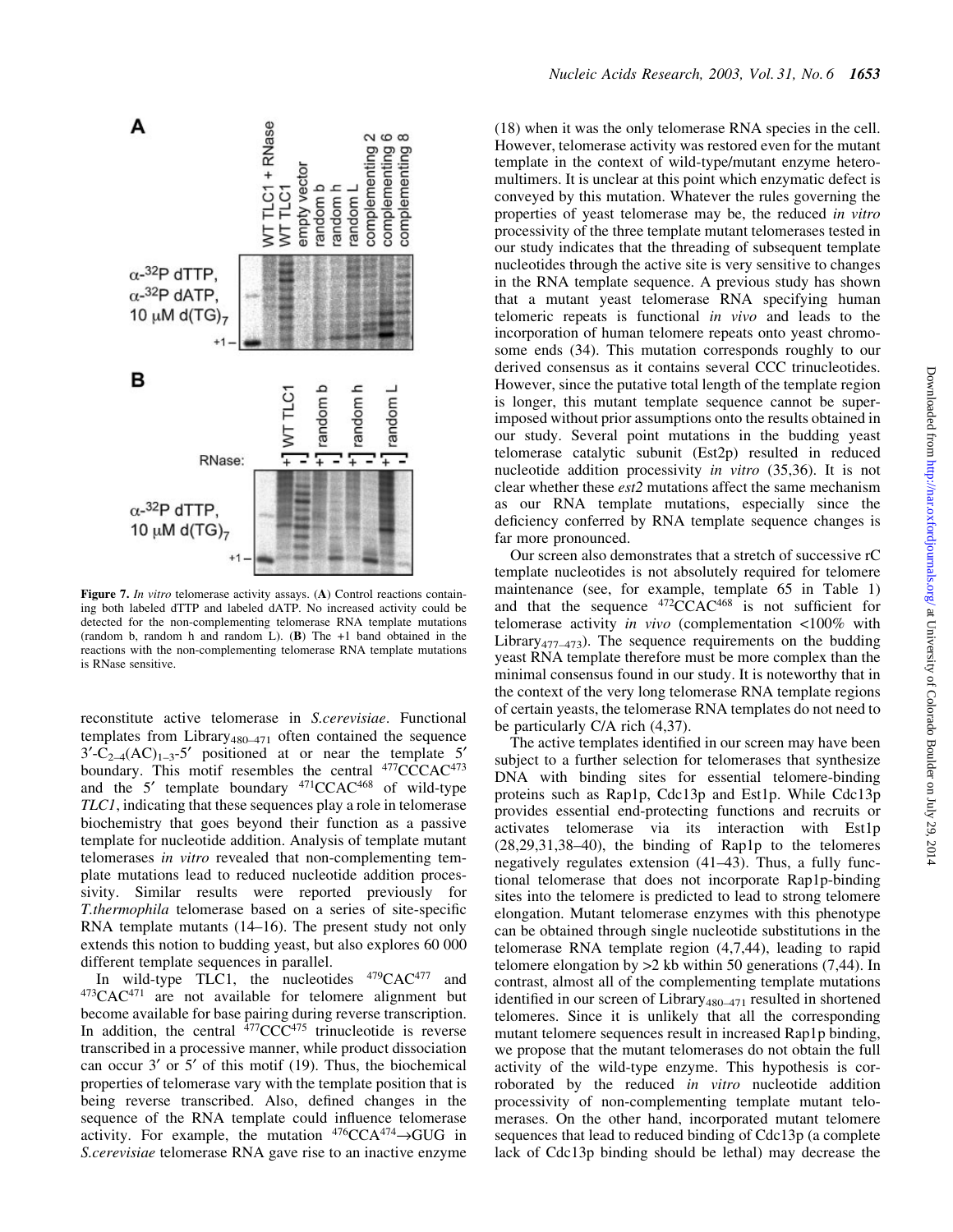

Figure 7. In vitro telomerase activity assays. (A) Control reactions containing both labeled dTTP and labeled dATP. No increased activity could be detected for the non-complementing telomerase RNA template mutations (random b, random h and random L).  $(B)$  The  $+1$  band obtained in the reactions with the non-complementing telomerase RNA template mutations is RNase sensitive.

reconstitute active telomerase in S.cerevisiae. Functional templates from Library<sub>480-471</sub> often contained the sequence  $3'-C_{2-4}(AC)_{1-3}-5'$  positioned at or near the template 5' boundary. This motif resembles the central <sup>477</sup>CCCAC<sup>473</sup> and the  $5'$  template boundary  $471$ CCAC $468$  of wild-type TLC1, indicating that these sequences play a role in telomerase biochemistry that goes beyond their function as a passive template for nucleotide addition. Analysis of template mutant telomerases in vitro revealed that non-complementing template mutations lead to reduced nucleotide addition processivity. Similar results were reported previously for T.thermophila telomerase based on a series of site-specific RNA template mutants  $(14–16)$ . The present study not only extends this notion to budding yeast, but also explores 60 000 different template sequences in parallel.

In wild-type TLC1, the nucleotides  $479CAC^{477}$  and 473CAC471 are not available for telomere alignment but become available for base pairing during reverse transcription. In addition, the central  $477$ CCC $475$  trinucleotide is reverse transcribed in a processive manner, while product dissociation can occur  $3'$  or  $5'$  of this motif (19). Thus, the biochemical properties of telomerase vary with the template position that is being reverse transcribed. Also, defined changes in the sequence of the RNA template could influence telomerase activity. For example, the mutation  $476CCA^{474} \rightarrow GUG$  in S.cerevisiae telomerase RNA gave rise to an inactive enzyme (18) when it was the only telomerase RNA species in the cell. However, telomerase activity was restored even for the mutant template in the context of wild-type/mutant enzyme heteromultimers. It is unclear at this point which enzymatic defect is conveyed by this mutation. Whatever the rules governing the properties of yeast telomerase may be, the reduced in vitro processivity of the three template mutant telomerases tested in our study indicates that the threading of subsequent template nucleotides through the active site is very sensitive to changes in the RNA template sequence. A previous study has shown that a mutant yeast telomerase RNA specifying human telomeric repeats is functional in vivo and leads to the incorporation of human telomere repeats onto yeast chromosome ends (34). This mutation corresponds roughly to our derived consensus as it contains several CCC trinucleotides. However, since the putative total length of the template region is longer, this mutant template sequence cannot be superimposed without prior assumptions onto the results obtained in our study. Several point mutations in the budding yeast telomerase catalytic subunit (Est2p) resulted in reduced nucleotide addition processivity in vitro (35,36). It is not clear whether these est2 mutations affect the same mechanism as our RNA template mutations, especially since the deficiency conferred by RNA template sequence changes is far more pronounced.

Our screen also demonstrates that a stretch of successive rC template nucleotides is not absolutely required for telomere maintenance (see, for example, template 65 in Table 1) and that the sequence  $472\text{CCAC}^{468}$  is not sufficient for telomerase activity in vivo (complementation <100% with Library<sub>477-473</sub>). The sequence requirements on the budding yeast RNA template therefore must be more complex than the minimal consensus found in our study. It is noteworthy that in the context of the very long telomerase RNA template regions of certain yeasts, the telomerase RNA templates do not need to be particularly C/A rich (4,37).

The active templates identified in our screen may have been subject to a further selection for telomerases that synthesize DNA with binding sites for essential telomere-binding proteins such as Rap1p, Cdc13p and Est1p. While Cdc13p provides essential end-protecting functions and recruits or activates telomerase via its interaction with Est1p  $(28,29,31,38-40)$ , the binding of Rap1p to the telomeres negatively regulates extension  $(41–43)$ . Thus, a fully functional telomerase that does not incorporate Rap1p-binding sites into the telomere is predicted to lead to strong telomere elongation. Mutant telomerase enzymes with this phenotype can be obtained through single nucleotide substitutions in the telomerase RNA template region (4,7,44), leading to rapid telomere elongation by >2 kb within 50 generations (7,44). In contrast, almost all of the complementing template mutations identified in our screen of Library<sub>480</sub> $-471$  resulted in shortened telomeres. Since it is unlikely that all the corresponding mutant telomere sequences result in increased Rap1p binding, we propose that the mutant telomerases do not obtain the full activity of the wild-type enzyme. This hypothesis is corroborated by the reduced in vitro nucleotide addition processivity of non-complementing template mutant telomerases. On the other hand, incorporated mutant telomere sequences that lead to reduced binding of Cdc13p (a complete lack of Cdc13p binding should be lethal) may decrease the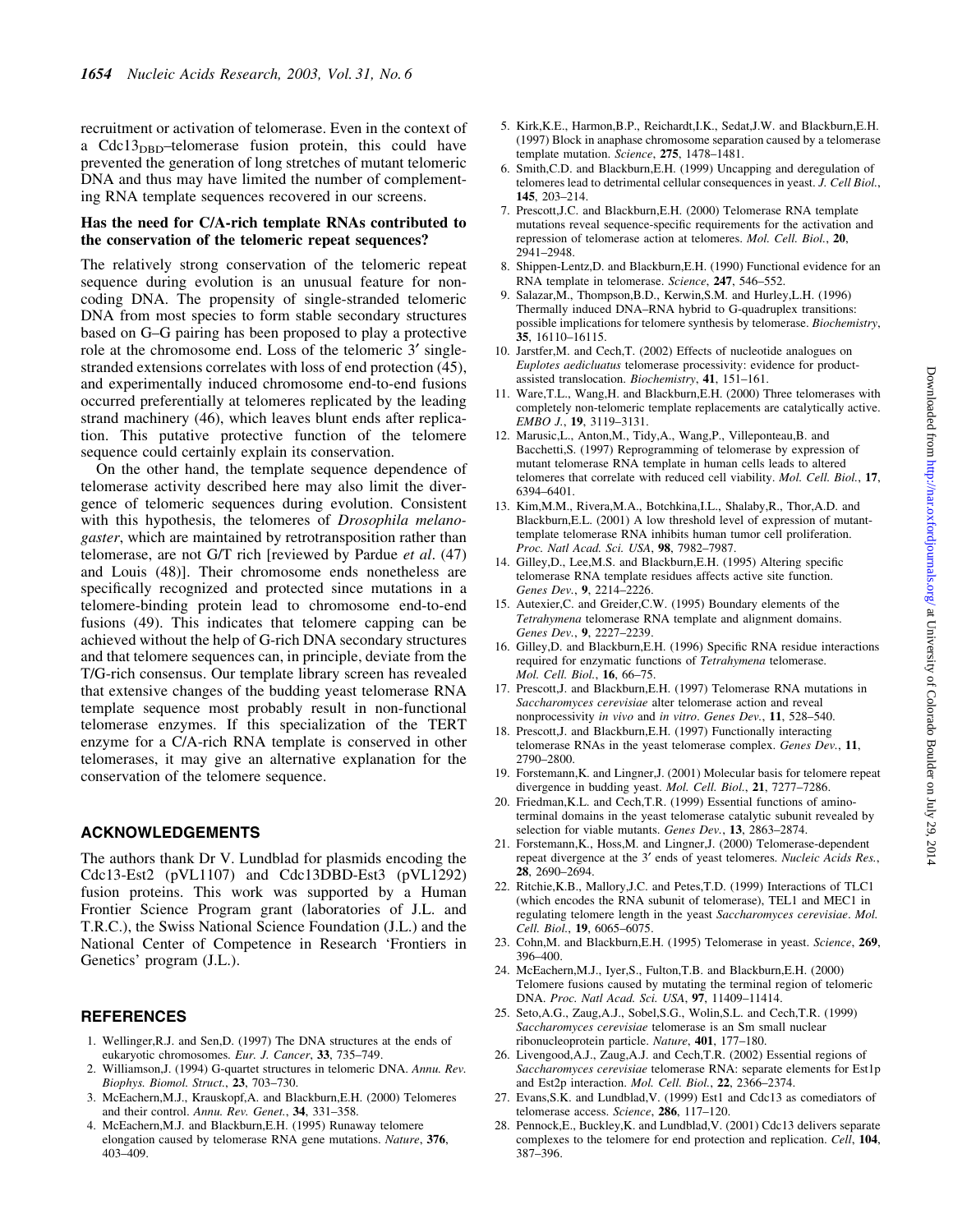recruitment or activation of telomerase. Even in the context of a  $Cdc13_{DBD}$ -telomerase fusion protein, this could have prevented the generation of long stretches of mutant telomeric DNA and thus may have limited the number of complementing RNA template sequences recovered in our screens.

# Has the need for C/A-rich template RNAs contributed to the conservation of the telomeric repeat sequences?

The relatively strong conservation of the telomeric repeat sequence during evolution is an unusual feature for noncoding DNA. The propensity of single-stranded telomeric DNA from most species to form stable secondary structures based on G-G pairing has been proposed to play a protective role at the chromosome end. Loss of the telomeric 3' singlestranded extensions correlates with loss of end protection (45), and experimentally induced chromosome end-to-end fusions occurred preferentially at telomeres replicated by the leading strand machinery (46), which leaves blunt ends after replication. This putative protective function of the telomere sequence could certainly explain its conservation.

On the other hand, the template sequence dependence of telomerase activity described here may also limit the divergence of telomeric sequences during evolution. Consistent with this hypothesis, the telomeres of *Drosophila melano*gaster, which are maintained by retrotransposition rather than telomerase, are not  $G/T$  rich [reviewed by Pardue *et al.*  $(47)$ and Louis (48)]. Their chromosome ends nonetheless are specifically recognized and protected since mutations in a telomere-binding protein lead to chromosome end-to-end fusions (49). This indicates that telomere capping can be achieved without the help of G-rich DNA secondary structures and that telomere sequences can, in principle, deviate from the T/G-rich consensus. Our template library screen has revealed that extensive changes of the budding yeast telomerase RNA template sequence most probably result in non-functional telomerase enzymes. If this specialization of the TERT enzyme for a C/A-rich RNA template is conserved in other telomerases, it may give an alternative explanation for the conservation of the telomere sequence.

#### ACKNOWLEDGEMENTS

The authors thank Dr V. Lundblad for plasmids encoding the Cdc13-Est2 (pVL1107) and Cdc13DBD-Est3 (pVL1292) fusion proteins. This work was supported by a Human Frontier Science Program grant (laboratories of J.L. and T.R.C.), the Swiss National Science Foundation (J.L.) and the National Center of Competence in Research `Frontiers in Genetics' program (J.L.).

#### REFERENCES

- 1. Wellinger,R.J. and Sen,D. (1997) The DNA structures at the ends of eukaryotic chromosomes. Eur. J. Cancer, 33, 735-749.
- 2. Williamson,J. (1994) G-quartet structures in telomeric DNA. Annu. Rev. Biophys. Biomol. Struct., 23, 703-730.
- 3. McEachern,M.J., Krauskopf,A. and Blackburn,E.H. (2000) Telomeres and their control. Annu. Rev. Genet., 34, 331-358.
- 4. McEachern,M.J. and Blackburn,E.H. (1995) Runaway telomere elongation caused by telomerase RNA gene mutations. Nature, 376, 403±409.
- 5. Kirk,K.E., Harmon,B.P., Reichardt,I.K., Sedat,J.W. and Blackburn,E.H. (1997) Block in anaphase chromosome separation caused by a telomerase template mutation. Science, 275, 1478-1481.
- 6. Smith,C.D. and Blackburn,E.H. (1999) Uncapping and deregulation of telomeres lead to detrimental cellular consequences in yeast. J. Cell Biol., 145, 203-214.
- 7. Prescott,J.C. and Blackburn,E.H. (2000) Telomerase RNA template mutations reveal sequence-specific requirements for the activation and repression of telomerase action at telomeres. Mol. Cell. Biol., 20, 2941±2948.
- 8. Shippen-Lentz,D. and Blackburn,E.H. (1990) Functional evidence for an RNA template in telomerase. Science, 247, 546-552.
- 9. Salazar,M., Thompson,B.D., Kerwin,S.M. and Hurley,L.H. (1996) Thermally induced DNA-RNA hybrid to G-quadruplex transitions: possible implications for telomere synthesis by telomerase. Biochemistry,  $35, 16110 - 16115.$
- 10. Jarstfer,M. and Cech,T. (2002) Effects of nucleotide analogues on Euplotes aedicluatus telomerase processivity: evidence for productassisted translocation. Biochemistry, 41, 151-161.
- 11. Ware,T.L., Wang,H. and Blackburn,E.H. (2000) Three telomerases with completely non-telomeric template replacements are catalytically active. EMBO J., 19, 3119-3131.
- 12. Marusic,L., Anton,M., Tidy,A., Wang,P., Villeponteau,B. and Bacchetti,S. (1997) Reprogramming of telomerase by expression of mutant telomerase RNA template in human cells leads to altered telomeres that correlate with reduced cell viability. Mol. Cell. Biol., 17, 6394±6401.
- 13. Kim,M.M., Rivera,M.A., Botchkina,I.L., Shalaby,R., Thor,A.D. and Blackburn,E.L. (2001) A low threshold level of expression of mutanttemplate telomerase RNA inhibits human tumor cell proliferation. Proc. Natl Acad. Sci. USA, 98, 7982-7987.
- 14. Gilley, D., Lee, M.S. and Blackburn, E.H. (1995) Altering specific telomerase RNA template residues affects active site function. Genes Dev., 9, 2214-2226.
- 15. Autexier,C. and Greider,C.W. (1995) Boundary elements of the Tetrahymena telomerase RNA template and alignment domains. Genes Dev., 9, 2227-2239.
- 16. Gilley, D. and Blackburn, E.H. (1996) Specific RNA residue interactions required for enzymatic functions of Tetrahymena telomerase. Mol. Cell. Biol., 16, 66-75.
- 17. Prescott,J. and Blackburn,E.H. (1997) Telomerase RNA mutations in Saccharomyces cerevisiae alter telomerase action and reveal nonprocessivity in vivo and in vitro. Genes Dev., 11, 528-540.
- 18. Prescott,J. and Blackburn,E.H. (1997) Functionally interacting telomerase RNAs in the yeast telomerase complex. Genes Dev., 11, 2790±2800.
- 19. Forstemann,K. and Lingner,J. (2001) Molecular basis for telomere repeat divergence in budding yeast. Mol. Cell. Biol., 21, 7277-7286.
- 20. Friedman,K.L. and Cech,T.R. (1999) Essential functions of aminoterminal domains in the yeast telomerase catalytic subunit revealed by selection for viable mutants. Genes Dev., 13, 2863-2874.
- 21. Forstemann,K., Hoss,M. and Lingner,J. (2000) Telomerase-dependent repeat divergence at the 3' ends of yeast telomeres. Nucleic Acids Res., 28, 2690-2694.
- 22. Ritchie,K.B., Mallory,J.C. and Petes,T.D. (1999) Interactions of TLC1 (which encodes the RNA subunit of telomerase), TEL1 and MEC1 in regulating telomere length in the yeast Saccharomyces cerevisiae. Mol. Cell. Biol., 19, 6065-6075.
- 23. Cohn,M. and Blackburn,E.H. (1995) Telomerase in yeast. Science, 269, 396±400.
- 24. McEachern,M.J., Iyer,S., Fulton,T.B. and Blackburn,E.H. (2000) Telomere fusions caused by mutating the terminal region of telomeric DNA. Proc. Natl Acad. Sci. USA, 97, 11409-11414.
- 25. Seto,A.G., Zaug,A.J., Sobel,S.G., Wolin,S.L. and Cech,T.R. (1999) Saccharomyces cerevisiae telomerase is an Sm small nuclear ribonucleoprotein particle. Nature, 401, 177-180.
- 26. Livengood,A.J., Zaug,A.J. and Cech,T.R. (2002) Essential regions of Saccharomyces cerevisiae telomerase RNA: separate elements for Est1p and Est2p interaction. Mol. Cell. Biol., 22, 2366-2374.
- 27. Evans,S.K. and Lundblad,V. (1999) Est1 and Cdc13 as comediators of telomerase access. Science, 286, 117-120.
- 28. Pennock,E., Buckley,K. and Lundblad,V. (2001) Cdc13 delivers separate complexes to the telomere for end protection and replication. Cell, 104, 387±396.